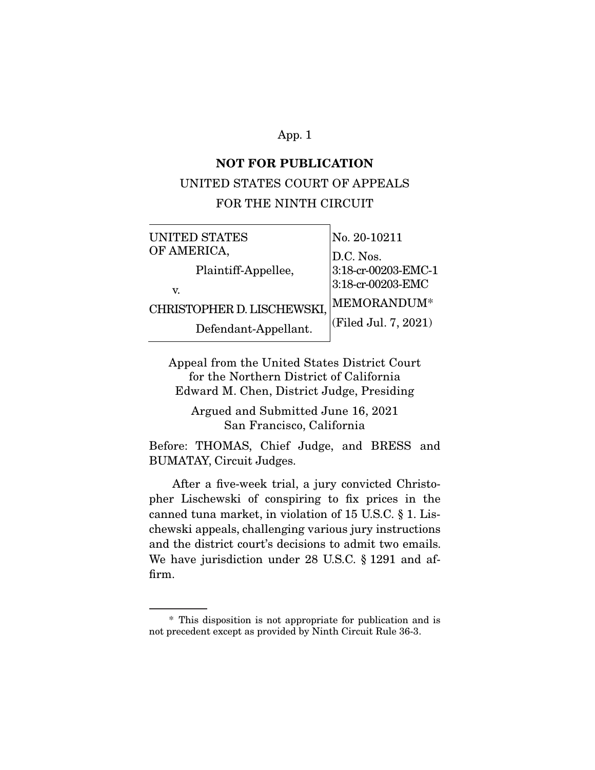### **NOT FOR PUBLICATION**

### UNITED STATES COURT OF APPEALS

### FOR THE NINTH CIRCUIT

| UNITED STATES              | No. 20-10211         |
|----------------------------|----------------------|
| OF AMERICA,                | D.C. Nos.            |
| Plaintiff-Appellee,        | 3:18-cr-00203-EMC-1  |
| V.                         | 3:18-cr-00203-EMC    |
| CHRISTOPHER D. LISCHEWSKI, | MEMORANDUM*          |
| Defendant-Appellant.       | (Filed Jul. 7, 2021) |

Appeal from the United States District Court for the Northern District of California Edward M. Chen, District Judge, Presiding

Argued and Submitted June 16, 2021 San Francisco, California

Before: THOMAS, Chief Judge, and BRESS and BUMATAY, Circuit Judges.

 After a five-week trial, a jury convicted Christopher Lischewski of conspiring to fix prices in the canned tuna market, in violation of 15 U.S.C. § 1. Lischewski appeals, challenging various jury instructions and the district court's decisions to admit two emails. We have jurisdiction under 28 U.S.C. § 1291 and affirm.

 <sup>\*</sup> This disposition is not appropriate for publication and is not precedent except as provided by Ninth Circuit Rule 36-3.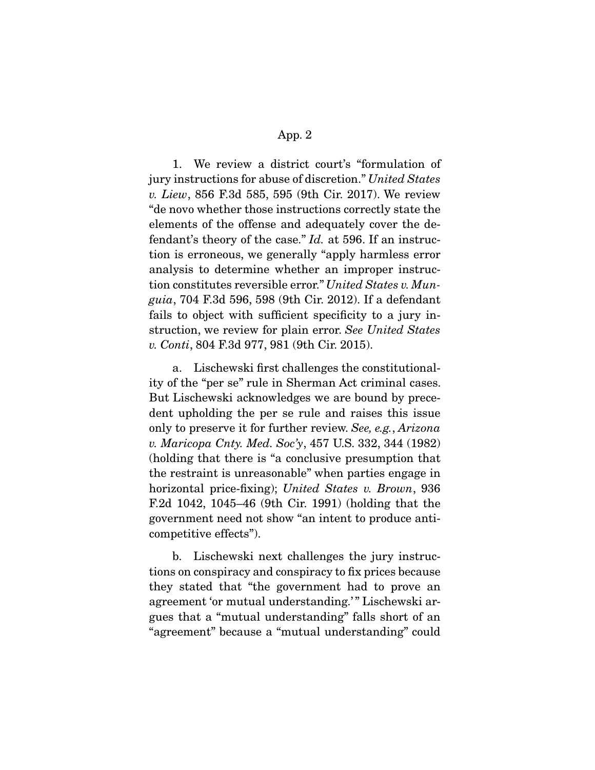1. We review a district court's "formulation of jury instructions for abuse of discretion." United States v. Liew, 856 F.3d 585, 595 (9th Cir. 2017). We review "de novo whether those instructions correctly state the elements of the offense and adequately cover the defendant's theory of the case." Id. at 596. If an instruction is erroneous, we generally "apply harmless error analysis to determine whether an improper instruction constitutes reversible error." United States v. Munguia, 704 F.3d 596, 598 (9th Cir. 2012). If a defendant fails to object with sufficient specificity to a jury instruction, we review for plain error. See United States v. Conti, 804 F.3d 977, 981 (9th Cir. 2015).

 a. Lischewski first challenges the constitutionality of the "per se" rule in Sherman Act criminal cases. But Lischewski acknowledges we are bound by precedent upholding the per se rule and raises this issue only to preserve it for further review. See, e.g., Arizona v. Maricopa Cnty. Med. Soc'y, 457 U.S. 332, 344 (1982) (holding that there is "a conclusive presumption that the restraint is unreasonable" when parties engage in horizontal price-fixing); United States v. Brown, 936 F.2d 1042, 1045–46 (9th Cir. 1991) (holding that the government need not show "an intent to produce anticompetitive effects").

 b. Lischewski next challenges the jury instructions on conspiracy and conspiracy to fix prices because they stated that "the government had to prove an agreement 'or mutual understanding.'" Lischewski argues that a "mutual understanding" falls short of an "agreement" because a "mutual understanding" could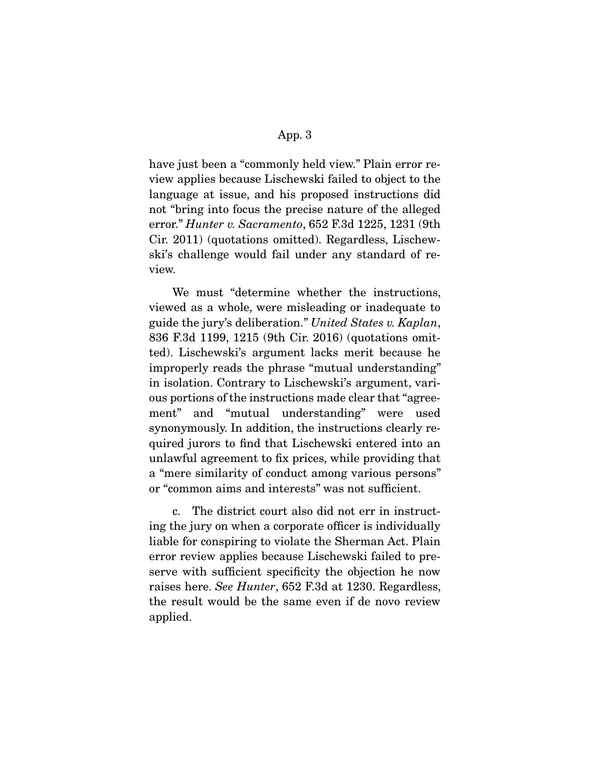have just been a "commonly held view." Plain error review applies because Lischewski failed to object to the language at issue, and his proposed instructions did not "bring into focus the precise nature of the alleged error." Hunter v. Sacramento, 652 F.3d 1225, 1231 (9th Cir. 2011) (quotations omitted). Regardless, Lischewski's challenge would fail under any standard of review.

 We must "determine whether the instructions, viewed as a whole, were misleading or inadequate to guide the jury's deliberation." United States v. Kaplan, 836 F.3d 1199, 1215 (9th Cir. 2016) (quotations omitted). Lischewski's argument lacks merit because he improperly reads the phrase "mutual understanding" in isolation. Contrary to Lischewski's argument, various portions of the instructions made clear that "agreement" and "mutual understanding" were used synonymously. In addition, the instructions clearly required jurors to find that Lischewski entered into an unlawful agreement to fix prices, while providing that a "mere similarity of conduct among various persons" or "common aims and interests" was not sufficient.

 c. The district court also did not err in instructing the jury on when a corporate officer is individually liable for conspiring to violate the Sherman Act. Plain error review applies because Lischewski failed to preserve with sufficient specificity the objection he now raises here. See Hunter, 652 F.3d at 1230. Regardless, the result would be the same even if de novo review applied.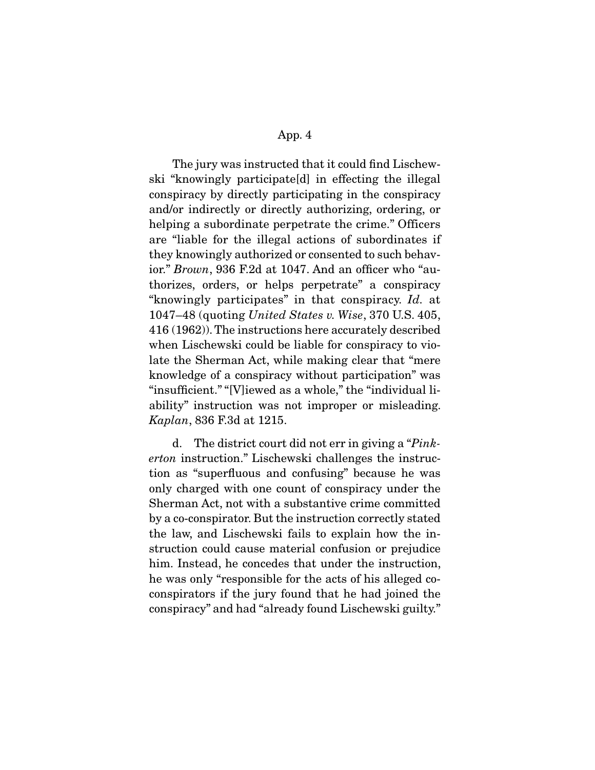The jury was instructed that it could find Lischewski "knowingly participate[d] in effecting the illegal conspiracy by directly participating in the conspiracy and/or indirectly or directly authorizing, ordering, or helping a subordinate perpetrate the crime." Officers are "liable for the illegal actions of subordinates if they knowingly authorized or consented to such behavior." Brown, 936 F.2d at 1047. And an officer who "authorizes, orders, or helps perpetrate" a conspiracy "knowingly participates" in that conspiracy. Id. at 1047–48 (quoting United States v. Wise, 370 U.S. 405, 416 (1962)). The instructions here accurately described when Lischewski could be liable for conspiracy to violate the Sherman Act, while making clear that "mere knowledge of a conspiracy without participation" was "insufficient." "[V]iewed as a whole," the "individual liability" instruction was not improper or misleading. Kaplan, 836 F.3d at 1215.

 d. The district court did not err in giving a "Pinkerton instruction." Lischewski challenges the instruction as "superfluous and confusing" because he was only charged with one count of conspiracy under the Sherman Act, not with a substantive crime committed by a co-conspirator. But the instruction correctly stated the law, and Lischewski fails to explain how the instruction could cause material confusion or prejudice him. Instead, he concedes that under the instruction, he was only "responsible for the acts of his alleged coconspirators if the jury found that he had joined the conspiracy" and had "already found Lischewski guilty."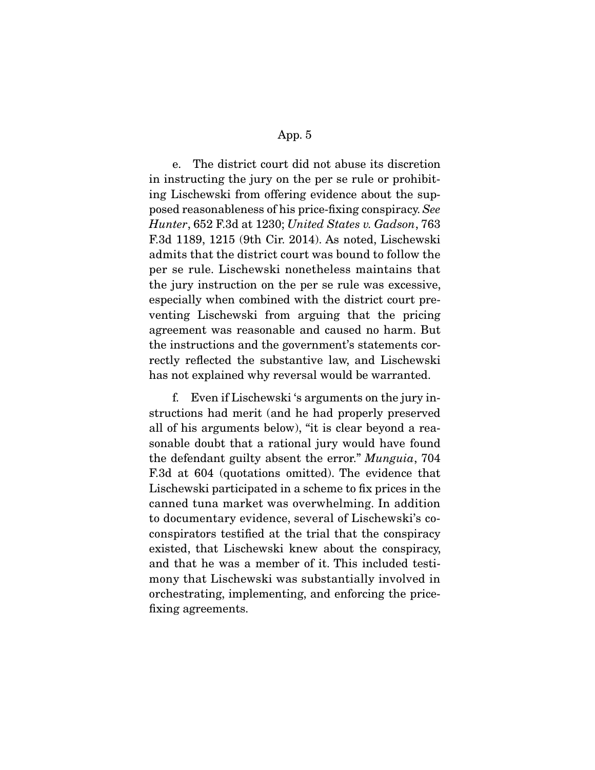e. The district court did not abuse its discretion in instructing the jury on the per se rule or prohibiting Lischewski from offering evidence about the supposed reasonableness of his price-fixing conspiracy. See Hunter, 652 F.3d at 1230; United States v. Gadson, 763 F.3d 1189, 1215 (9th Cir. 2014). As noted, Lischewski admits that the district court was bound to follow the per se rule. Lischewski nonetheless maintains that the jury instruction on the per se rule was excessive, especially when combined with the district court preventing Lischewski from arguing that the pricing agreement was reasonable and caused no harm. But the instructions and the government's statements correctly reflected the substantive law, and Lischewski has not explained why reversal would be warranted.

 f. Even if Lischewski 's arguments on the jury instructions had merit (and he had properly preserved all of his arguments below), "it is clear beyond a reasonable doubt that a rational jury would have found the defendant guilty absent the error." Munguia, 704 F.3d at 604 (quotations omitted). The evidence that Lischewski participated in a scheme to fix prices in the canned tuna market was overwhelming. In addition to documentary evidence, several of Lischewski's coconspirators testified at the trial that the conspiracy existed, that Lischewski knew about the conspiracy, and that he was a member of it. This included testimony that Lischewski was substantially involved in orchestrating, implementing, and enforcing the pricefixing agreements.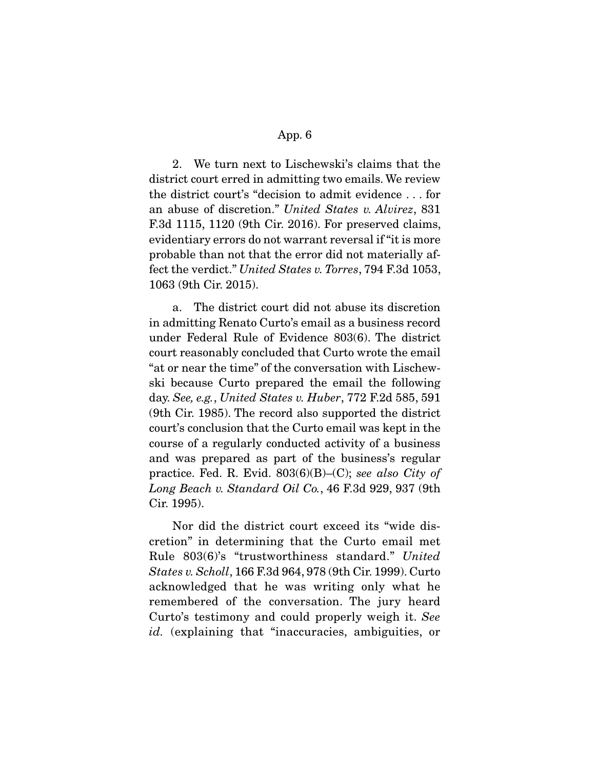2. We turn next to Lischewski's claims that the district court erred in admitting two emails. We review the district court's "decision to admit evidence . . . for an abuse of discretion." United States v. Alvirez, 831 F.3d 1115, 1120 (9th Cir. 2016). For preserved claims, evidentiary errors do not warrant reversal if "it is more probable than not that the error did not materially affect the verdict." United States v. Torres, 794 F.3d 1053, 1063 (9th Cir. 2015).

 a. The district court did not abuse its discretion in admitting Renato Curto's email as a business record under Federal Rule of Evidence 803(6). The district court reasonably concluded that Curto wrote the email "at or near the time" of the conversation with Lischewski because Curto prepared the email the following day. See, e.g., United States v. Huber, 772 F.2d 585, 591 (9th Cir. 1985). The record also supported the district court's conclusion that the Curto email was kept in the course of a regularly conducted activity of a business and was prepared as part of the business's regular practice. Fed. R. Evid.  $803(6)(B)$ –(C); see also City of Long Beach v. Standard Oil Co., 46 F.3d 929, 937 (9th Cir. 1995).

 Nor did the district court exceed its "wide discretion" in determining that the Curto email met Rule 803(6)'s "trustworthiness standard." United States v. Scholl, 166 F.3d 964, 978 (9th Cir. 1999). Curto acknowledged that he was writing only what he remembered of the conversation. The jury heard Curto's testimony and could properly weigh it. See id. (explaining that "inaccuracies, ambiguities, or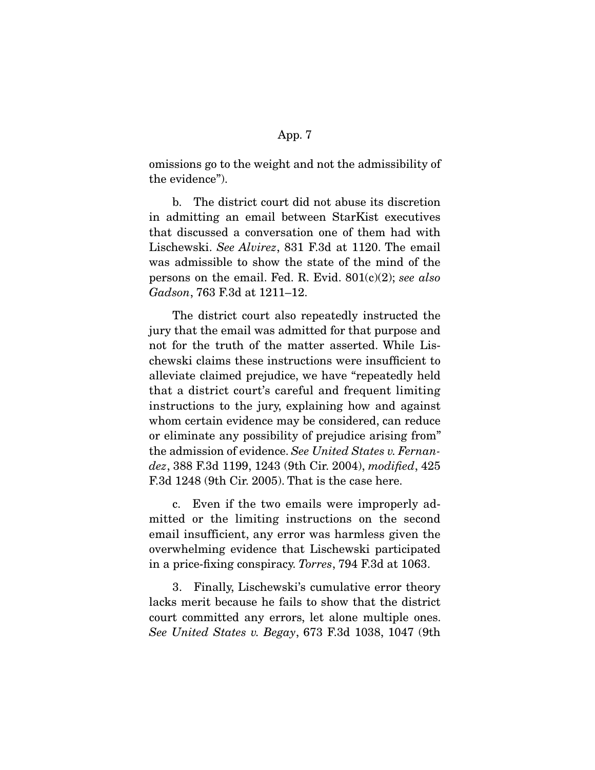omissions go to the weight and not the admissibility of the evidence").

 b. The district court did not abuse its discretion in admitting an email between StarKist executives that discussed a conversation one of them had with Lischewski. See Alvirez, 831 F.3d at 1120. The email was admissible to show the state of the mind of the persons on the email. Fed. R. Evid.  $801(c)(2)$ ; see also Gadson, 763 F.3d at 1211–12.

 The district court also repeatedly instructed the jury that the email was admitted for that purpose and not for the truth of the matter asserted. While Lischewski claims these instructions were insufficient to alleviate claimed prejudice, we have "repeatedly held that a district court's careful and frequent limiting instructions to the jury, explaining how and against whom certain evidence may be considered, can reduce or eliminate any possibility of prejudice arising from" the admission of evidence. See United States v. Fernandez, 388 F.3d 1199, 1243 (9th Cir. 2004), modified, 425 F.3d 1248 (9th Cir. 2005). That is the case here.

 c. Even if the two emails were improperly admitted or the limiting instructions on the second email insufficient, any error was harmless given the overwhelming evidence that Lischewski participated in a price-fixing conspiracy. Torres, 794 F.3d at 1063.

 3. Finally, Lischewski's cumulative error theory lacks merit because he fails to show that the district court committed any errors, let alone multiple ones. See United States v. Begay, 673 F.3d 1038, 1047 (9th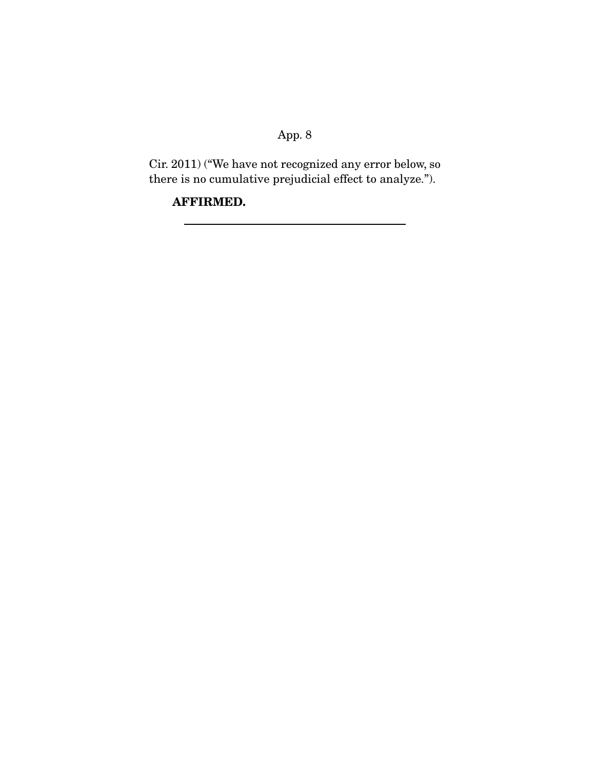Cir. 2011) ("We have not recognized any error below, so there is no cumulative prejudicial effect to analyze.").

**AFFIRMED.**